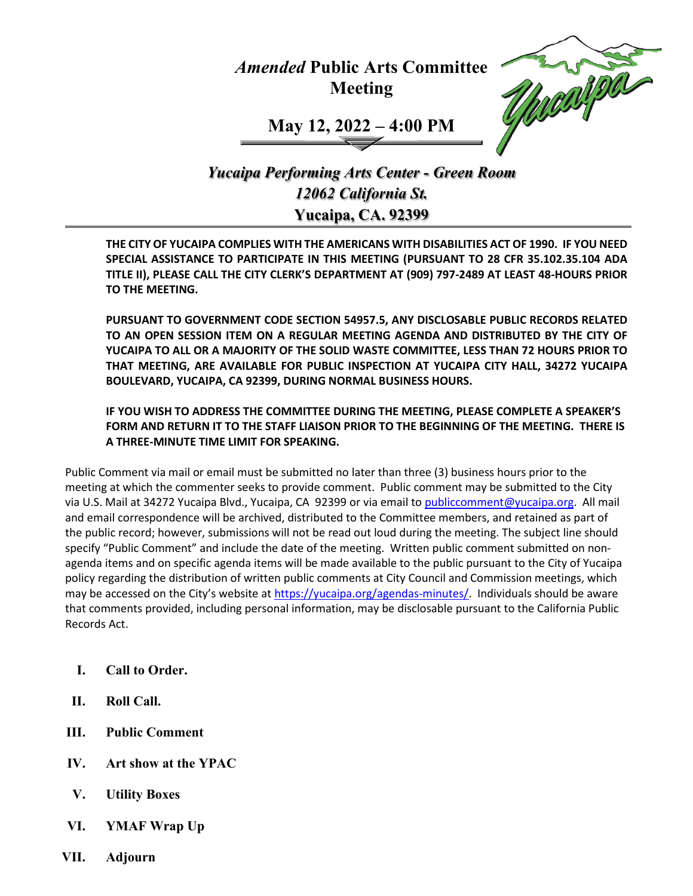## *Amended* **Public Arts Committee Meeting**



**May 12, 2022 – 4:00 PM**

*Yucaipa Performing Arts Center - Green Room 12062 California St.* **Yucaipa, CA. 92399**

**THE CITY OF YUCAIPA COMPLIES WITH THE AMERICANS WITH DISABILITIES ACT OF 1990. IF YOU NEED SPECIAL ASSISTANCE TO PARTICIPATE IN THIS MEETING (PURSUANT TO 28 CFR 35.102.35.104 ADA TITLE II), PLEASE CALL THE CITY CLERK'S DEPARTMENT AT (909) 797-2489 AT LEAST 48-HOURS PRIOR TO THE MEETING.**

**PURSUANT TO GOVERNMENT CODE SECTION 54957.5, ANY DISCLOSABLE PUBLIC RECORDS RELATED TO AN OPEN SESSION ITEM ON A REGULAR MEETING AGENDA AND DISTRIBUTED BY THE CITY OF YUCAIPA TO ALL OR A MAJORITY OF THE SOLID WASTE COMMITTEE, LESS THAN 72 HOURS PRIOR TO THAT MEETING, ARE AVAILABLE FOR PUBLIC INSPECTION AT YUCAIPA CITY HALL, 34272 YUCAIPA BOULEVARD, YUCAIPA, CA 92399, DURING NORMAL BUSINESS HOURS.**

**IF YOU WISH TO ADDRESS THE COMMITTEE DURING THE MEETING, PLEASE COMPLETE A SPEAKER'S FORM AND RETURN IT TO THE STAFF LIAISON PRIOR TO THE BEGINNING OF THE MEETING. THERE IS A THREE-MINUTE TIME LIMIT FOR SPEAKING.**

Public Comment via mail or email must be submitted no later than three (3) business hours prior to the meeting at which the commenter seeks to provide comment. Public comment may be submitted to the City via U.S. Mail at 34272 Yucaipa Blvd., Yucaipa, CA 92399 or via email to [publiccomment@yucaipa.org.](mailto:publiccomment@yucaipa.org) All mail and email correspondence will be archived, distributed to the Committee members, and retained as part of the public record; however, submissions will not be read out loud during the meeting. The subject line should specify "Public Comment" and include the date of the meeting. Written public comment submitted on nonagenda items and on specific agenda items will be made available to the public pursuant to the City of Yucaipa policy regarding the distribution of written public comments at City Council and Commission meetings, which may be accessed on the City's website at [https://yucaipa.org/agendas-minutes/.](https://linkprotect.cudasvc.com/url?a=https%3a%2f%2fyucaipa.org%2fagendas-minutes%2f&c=E,1,8iu_aLaCQsOmYjnWdhNeQgU9-XVoB5a0CzOs_nrmw5nAY-k_y7XZa3JAnXx2dduIQhERc5pzGH0uA9TG0OvmT6S6_YXFTmLh8Gy4-DGG9zUALHtuXEtWj2x5&typo=1) Individuals should be aware that comments provided, including personal information, may be disclosable pursuant to the California Public Records Act.

- **I. Call to Order.**
- **II. Roll Call.**
- **III. Public Comment**
- **IV. Art show at the YPAC**
- **V. Utility Boxes**
- **VI. YMAF Wrap Up**
- **VII. Adjourn**